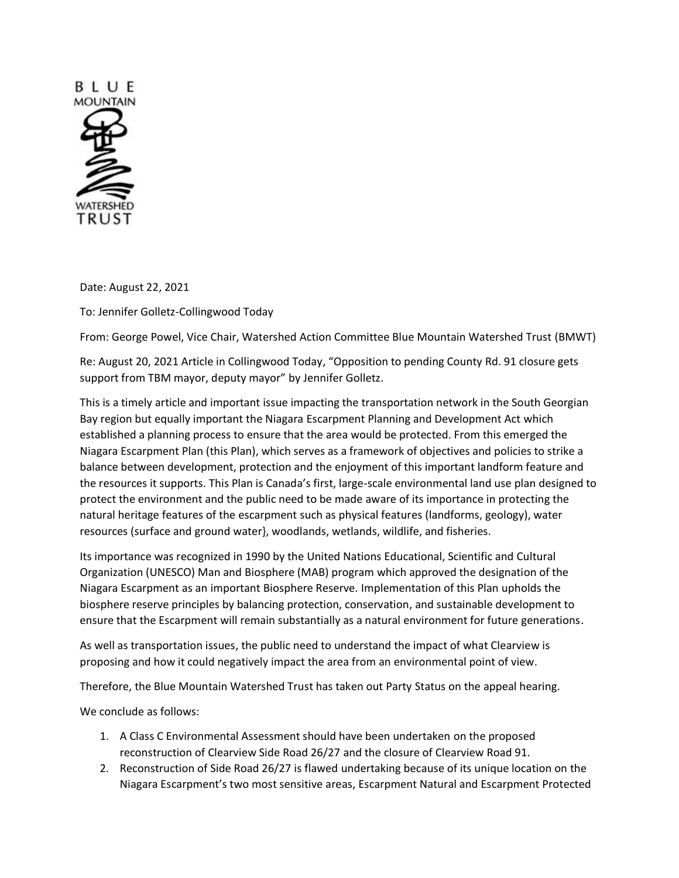

Date: August 22, 2021

To: Jennifer Golletz-Collingwood Today

From: George Powel, Vice Chair, Watershed Action Committee Blue Mountain Watershed Trust (BMWT)

Re: August 20, 2021 Article in Collingwood Today, "Opposition to pending County Rd. 91 closure gets support from TBM mayor, deputy mayor" by Jennifer Golletz.

This is a timely article and important issue impacting the transportation network in the South Georgian Bay region but equally important the Niagara Escarpment Planning and Development Act which established a planning process to ensure that the area would be protected. From this emerged the Niagara Escarpment Plan (this Plan), which serves as a framework of objectives and policies to strike a balance between development, protection and the enjoyment of this important landform feature and the resources it supports. This Plan is Canada's first, large-scale environmental land use plan designed to protect the environment and the public need to be made aware of its importance in protecting the natural heritage features of the escarpment such as physical features (landforms, geology), water resources (surface and ground water}, woodlands, wetlands, wildlife, and fisheries.

Its importance was recognized in 1990 by the United Nations Educational, Scientific and Cultural Organization (UNESCO) Man and Biosphere (MAB) program which approved the designation of the Niagara Escarpment as an important Biosphere Reserve. Implementation of this Plan upholds the biosphere reserve principles by balancing protection, conservation, and sustainable development to ensure that the Escarpment will remain substantially as a natural environment for future generations.

As well as transportation issues, the public need to understand the impact of what Clearview is proposing and how it could negatively impact the area from an environmental point of view.

Therefore, the Blue Mountain Watershed Trust has taken out Party Status on the appeal hearing.

We conclude as follows:

- 1. A Class C Environmental Assessment should have been undertaken on the proposed reconstruction of Clearview Side Road 26/27 and the closure of Clearview Road 91.
- 2. Reconstruction of Side Road 26/27 is flawed undertaking because of its unique location on the Niagara Escarpment's two most sensitive areas, Escarpment Natural and Escarpment Protected